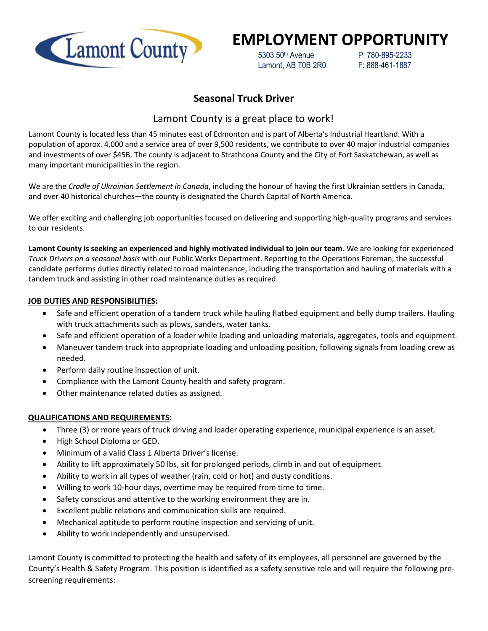

# **EMPLOYMENT OPPORTUNITY**

 5303 50th Avenue P: 780-895-2233 Lamont, AB T0B 2R0 F: 888-461-1887

## **Seasonal Truck Driver**

## Lamont County is a great place to work!

Lamont County is located less than 45 minutes east of Edmonton and is part of Alberta's Industrial Heartland. With a population of approx. 4,000 and a service area of over 9,500 residents, we contribute to over 40 major industrial companies and investments of over \$45B. The county is adjacent to Strathcona County and the City of Fort Saskatchewan, as well as many important municipalities in the region.

We are the *Cradle of Ukrainian Settlement in Canada*, including the honour of having the first Ukrainian settlers in Canada, and over 40 historical churches—the county is designated the Church Capital of North America.

We offer exciting and challenging job opportunities focused on delivering and supporting high-quality programs and services to our residents.

**Lamont County is seeking an experienced and highly motivated individual to join our team.** We are looking for experienced *Truck Drivers on a seasonal basis* with our Public Works Department. Reporting to the Operations Foreman, the successful candidate performs duties directly related to road maintenance, including the transportation and hauling of materials with a tandem truck and assisting in other road maintenance duties as required.

#### **JOB DUTIES AND RESPONSIBILITIES:**

- Safe and efficient operation of a tandem truck while hauling flatbed equipment and belly dump trailers. Hauling with truck attachments such as plows, sanders, water tanks.
- Safe and efficient operation of a loader while loading and unloading materials, aggregates, tools and equipment.
- Maneuver tandem truck into appropriate loading and unloading position, following signals from loading crew as needed.
- Perform daily routine inspection of unit.
- Compliance with the Lamont County health and safety program.
- Other maintenance related duties as assigned.

### **QUALIFICATIONS AND REQUIREMENTS:**

- Three (3) or more years of truck driving and loader operating experience, municipal experience is an asset.
- High School Diploma or GED.
- Minimum of a valid Class 1 Alberta Driver's license.
- Ability to lift approximately 50 lbs, sit for prolonged periods, climb in and out of equipment.
- Ability to work in all types of weather (rain, cold or hot) and dusty conditions.
- Willing to work 10-hour days, overtime may be required from time to time.
- Safety conscious and attentive to the working environment they are in.
- Excellent public relations and communication skills are required.
- Mechanical aptitude to perform routine inspection and servicing of unit.
- Ability to work independently and unsupervised.

Lamont County is committed to protecting the health and safety of its employees, all personnel are governed by the County's Health & Safety Program. This position is identified as a safety sensitive role and will require the following prescreening requirements: